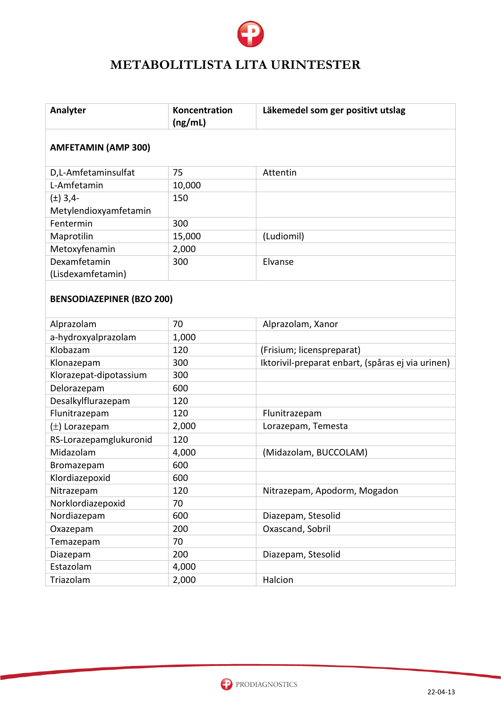

# **METABOLITLISTA LITA URINTESTER**

| Analyter                         | Koncentration<br>(ng/mL) | Läkemedel som ger positivt utslag                 |
|----------------------------------|--------------------------|---------------------------------------------------|
| <b>AMFETAMIN (AMP 300)</b>       |                          |                                                   |
| D,L-Amfetaminsulfat              | 75                       | Attentin                                          |
| L-Amfetamin                      | 10,000                   |                                                   |
| $(\pm)$ 3,4-                     | 150                      |                                                   |
| Metylendioxyamfetamin            |                          |                                                   |
| Fentermin                        | 300                      |                                                   |
| Maprotilin                       | 15,000                   | (Ludiomil)                                        |
| Metoxyfenamin                    | 2,000                    |                                                   |
| Dexamfetamin                     | 300                      | Elvanse                                           |
| (Lisdexamfetamin)                |                          |                                                   |
| <b>BENSODIAZEPINER (BZO 200)</b> |                          |                                                   |
| Alprazolam                       | 70                       | Alprazolam, Xanor                                 |
| a-hydroxyalprazolam              | 1,000                    |                                                   |
| Klobazam                         | 120                      | (Frisium; licenspreparat)                         |
| Klonazepam                       | 300                      | Iktorivil-preparat enbart, (spåras ej via urinen) |
| Klorazepat-dipotassium           | 300                      |                                                   |
| Delorazepam                      | 600                      |                                                   |
| Desalkylflurazepam               | 120                      |                                                   |
| Flunitrazepam                    | 120                      | Flunitrazepam                                     |
| $(\pm)$ Lorazepam                | 2,000                    | Lorazepam, Temesta                                |
| RS-Lorazepamglukuronid           | 120                      |                                                   |
| Midazolam                        | 4,000                    | (Midazolam, BUCCOLAM)                             |
| Bromazepam                       | 600                      |                                                   |
| Klordiazepoxid                   | 600                      |                                                   |
| Nitrazepam                       | 120                      | Nitrazepam, Apodorm, Mogadon                      |
| Norklordiazepoxid                | 70                       |                                                   |
| Nordiazepam                      | 600                      | Diazepam, Stesolid                                |
| Oxazepam                         | 200                      | Oxascand, Sobril                                  |
| Temazepam                        | 70                       |                                                   |
| Diazepam                         | 200                      | Diazepam, Stesolid                                |
| Estazolam                        | 4,000                    |                                                   |
| Triazolam                        | 2,000                    | Halcion                                           |

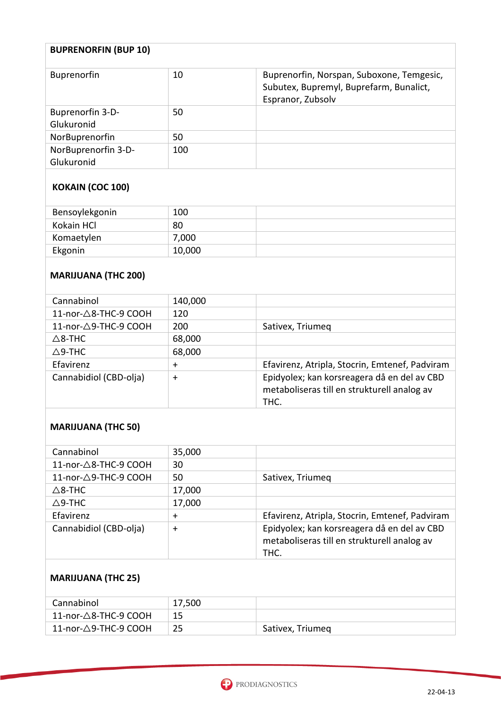| <b>BUPRENORFIN (BUP 10)</b>       |     |                                                                                                           |
|-----------------------------------|-----|-----------------------------------------------------------------------------------------------------------|
| <b>Buprenorfin</b>                | 10  | Buprenorfin, Norspan, Suboxone, Temgesic,<br>Subutex, Bupremyl, Buprefarm, Bunalict,<br>Espranor, Zubsolv |
| Buprenorfin 3-D-<br>Glukuronid    | 50  |                                                                                                           |
| NorBuprenorfin                    | 50  |                                                                                                           |
| NorBuprenorfin 3-D-<br>Glukuronid | 100 |                                                                                                           |

### **KOKAIN (COC 100)**

| Bensoylekgonin | 100    |  |
|----------------|--------|--|
| Kokain HCl     | 80     |  |
| Komaetylen     | 7,000  |  |
| Ekgonin        | 10,000 |  |

### **MARIJUANA (THC 200)**

| Cannabinol             | 140,000   |                                                                                                    |
|------------------------|-----------|----------------------------------------------------------------------------------------------------|
| 11-nor-△8-THC-9 COOH   | 120       |                                                                                                    |
| 11-nor-△9-THC-9 COOH   | 200       | Sativex, Triumeg                                                                                   |
| $\triangle$ 8-THC      | 68,000    |                                                                                                    |
| $\triangle$ 9-THC      | 68,000    |                                                                                                    |
| Efavirenz              | $\ddot{}$ | Efavirenz, Atripla, Stocrin, Emtenef, Padviram                                                     |
| Cannabidiol (CBD-olja) | $+$       | Epidyolex; kan korsreagera då en del av CBD<br>metaboliseras till en strukturell analog av<br>THC. |

#### **MARIJUANA (THC 50)**

| Cannabinol             | 35,000    |                                                                                                    |
|------------------------|-----------|----------------------------------------------------------------------------------------------------|
| 11-nor-△8-THC-9 COOH   | 30        |                                                                                                    |
| 11-nor-△9-THC-9 COOH   | 50        | Sativex, Triumeg                                                                                   |
| $\triangle$ 8-THC      | 17,000    |                                                                                                    |
| $\triangle$ 9-THC      | 17,000    |                                                                                                    |
| Efavirenz              | ╈         | Efavirenz, Atripla, Stocrin, Emtenef, Padviram                                                     |
| Cannabidiol (CBD-olja) | $\ddot{}$ | Epidyolex; kan korsreagera då en del av CBD<br>metaboliseras till en strukturell analog av<br>THC. |

## **MARIJUANA (THC 25)**

| Cannabinol                       | 17,500 |                  |
|----------------------------------|--------|------------------|
| 11-nor- $\triangle$ 8-THC-9 COOH |        |                  |
| 11-nor- $\triangle$ 9-THC-9 COOH | 25     | Sativex, Triumeg |

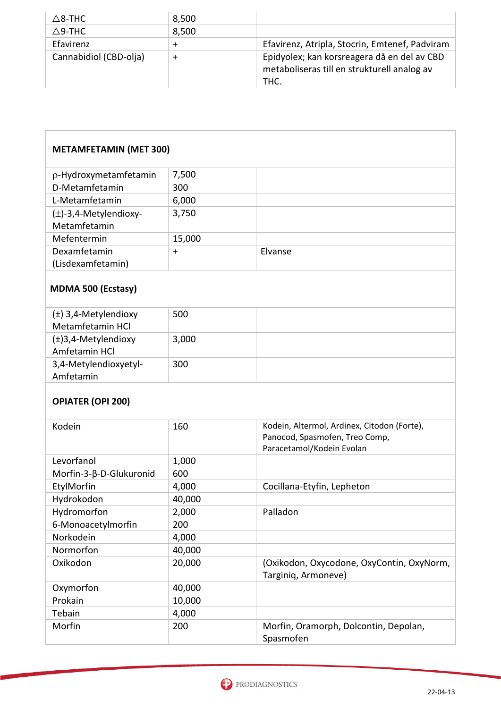| $\triangle$ 8-THC      | 8,500  |                                                                                                    |
|------------------------|--------|----------------------------------------------------------------------------------------------------|
| $\Delta$ 9-THC         | 8,500  |                                                                                                    |
| Efavirenz              |        | Efavirenz, Atripla, Stocrin, Emtenef, Padviram                                                     |
| Cannabidiol (CBD-olja) | $\div$ | Epidyolex; kan korsreagera då en del av CBD<br>metaboliseras till en strukturell analog av<br>THC. |

| <b>METAMFETAMIN (MET 300)</b>                         |        |                                                                                                            |
|-------------------------------------------------------|--------|------------------------------------------------------------------------------------------------------------|
| p-Hydroxymetamfetamin                                 | 7,500  |                                                                                                            |
| D-Metamfetamin                                        | 300    |                                                                                                            |
| L-Metamfetamin                                        | 6,000  |                                                                                                            |
| (±)-3,4-Metylendioxy-                                 | 3,750  |                                                                                                            |
| Metamfetamin                                          |        |                                                                                                            |
| Mefentermin                                           | 15,000 |                                                                                                            |
| Dexamfetamin                                          | $+$    | Elvanse                                                                                                    |
| (Lisdexamfetamin)                                     |        |                                                                                                            |
| <b>MDMA 500 (Ecstasy)</b><br>$(\pm)$ 3,4-Metylendioxy | 500    |                                                                                                            |
| Metamfetamin HCl                                      |        |                                                                                                            |
| $(\pm)$ 3,4-Metylendioxy<br>Amfetamin HCl             | 3,000  |                                                                                                            |
| 3,4-Metylendioxyetyl-<br>Amfetamin                    | 300    |                                                                                                            |
| <b>OPIATER (OPI 200)</b>                              |        |                                                                                                            |
| Kodein                                                | 160    | Kodein, Altermol, Ardinex, Citodon (Forte),<br>Panocod, Spasmofen, Treo Comp,<br>Paracetamol/Kodein Evolan |
| Levorfanol                                            | 1,000  |                                                                                                            |
| Morfin-3-β-D-Glukuronid                               | 600    |                                                                                                            |
| EtylMorfin                                            | 4,000  | Cocillana-Etyfin, Lepheton                                                                                 |
| Hydrokodon                                            | 40,000 |                                                                                                            |
| Hydromorfon                                           | 2,000  | Palladon                                                                                                   |
| 6-Monoacetylmorfin                                    | 200    |                                                                                                            |
| Norkodein                                             | 4,000  |                                                                                                            |
| Normorfon                                             | 40,000 |                                                                                                            |
| Oxikodon                                              | 20,000 | (Oxikodon, Oxycodone, OxyContin, OxyNorm,<br>Targiniq, Armoneve)                                           |
| Oxymorfon                                             | 40,000 |                                                                                                            |
| Prokain                                               | 10,000 |                                                                                                            |
| Tebain                                                | 4,000  |                                                                                                            |
| Morfin                                                | 200    | Morfin, Oramorph, Dolcontin, Depolan,<br>Spasmofen                                                         |

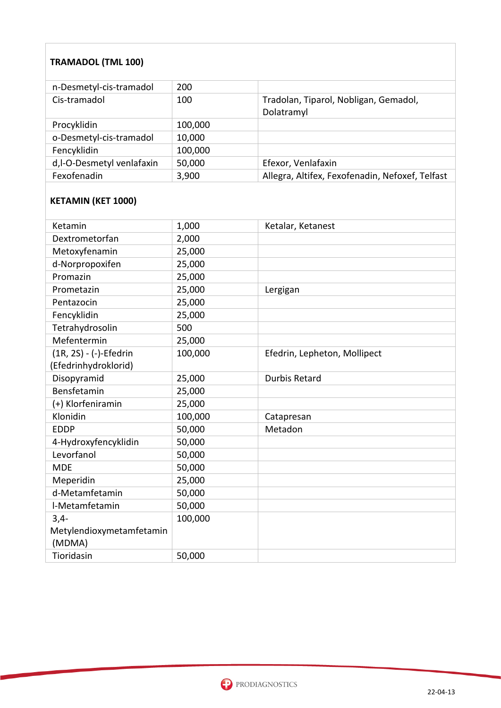#### **TRAMADOL (TML 100)**

| n-Desmetyl-cis-tramadol   | 200     |                                                     |
|---------------------------|---------|-----------------------------------------------------|
| Cis-tramadol              | 100     | Tradolan, Tiparol, Nobligan, Gemadol,<br>Dolatramyl |
| Procyklidin               | 100,000 |                                                     |
| o-Desmetyl-cis-tramadol   | 10,000  |                                                     |
| Fencyklidin               | 100,000 |                                                     |
| d,I-O-Desmetyl venlafaxin | 50,000  | Efexor, Venlafaxin                                  |
| Fexofenadin               | 3,900   | Allegra, Altifex, Fexofenadin, Nefoxef, Telfast     |

### **KETAMIN (KET 1000)**

| Ketamin                  | 1,000   | Ketalar, Ketanest            |
|--------------------------|---------|------------------------------|
| Dextrometorfan           | 2,000   |                              |
| Metoxyfenamin            | 25,000  |                              |
| d-Norpropoxifen          | 25,000  |                              |
| Promazin                 | 25,000  |                              |
| Prometazin               | 25,000  | Lergigan                     |
| Pentazocin               | 25,000  |                              |
| Fencyklidin              | 25,000  |                              |
| Tetrahydrosolin          | 500     |                              |
| Mefentermin              | 25,000  |                              |
| (1R, 2S) - (-)-Efedrin   | 100,000 | Efedrin, Lepheton, Mollipect |
| (Efedrinhydroklorid)     |         |                              |
| Disopyramid              | 25,000  | <b>Durbis Retard</b>         |
| Bensfetamin              | 25,000  |                              |
| (+) Klorfeniramin        | 25,000  |                              |
| Klonidin                 | 100,000 | Catapresan                   |
| <b>EDDP</b>              | 50,000  | Metadon                      |
| 4-Hydroxyfencyklidin     | 50,000  |                              |
| Levorfanol               | 50,000  |                              |
| <b>MDE</b>               | 50,000  |                              |
| Meperidin                | 25,000  |                              |
| d-Metamfetamin           | 50,000  |                              |
| I-Metamfetamin           | 50,000  |                              |
| $3,4-$                   | 100,000 |                              |
| Metylendioxymetamfetamin |         |                              |
| (MDMA)                   |         |                              |
| Tioridasin               | 50,000  |                              |

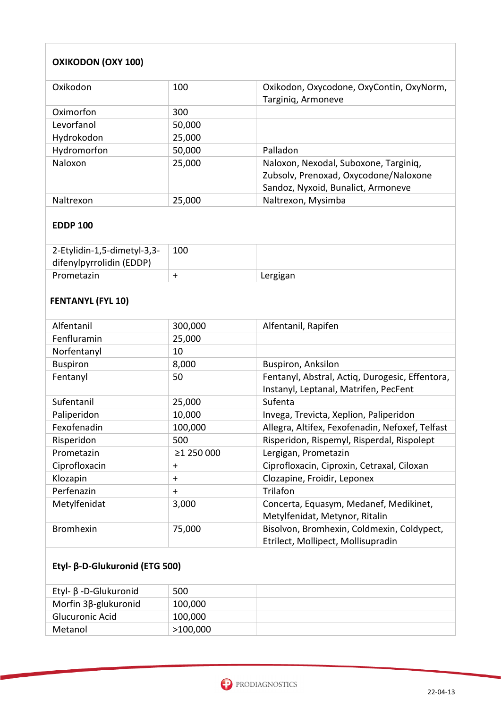### **OXIKODON (OXY 100)**

| Oxikodon    | 100    | Oxikodon, Oxycodone, OxyContin, OxyNorm,<br>Targiniq, Armoneve                                                       |
|-------------|--------|----------------------------------------------------------------------------------------------------------------------|
| Oximorfon   | 300    |                                                                                                                      |
| Levorfanol  | 50,000 |                                                                                                                      |
| Hydrokodon  | 25,000 |                                                                                                                      |
| Hydromorfon | 50,000 | Palladon                                                                                                             |
| Naloxon     | 25,000 | Naloxon, Nexodal, Suboxone, Targiniq,<br>Zubsolv, Prenoxad, Oxycodone/Naloxone<br>Sandoz, Nyxoid, Bunalict, Armoneve |
| Naltrexon   | 25,000 | Naltrexon, Mysimba                                                                                                   |

#### **EDDP 100**

| 2-Etylidin-1,5-dimetyl-3,3-<br>difenylpyrrolidin (EDDP) | 100 |          |
|---------------------------------------------------------|-----|----------|
| Prometazin                                              |     | Lergigan |

### **FENTANYL (FYL 10)**

| Alfentanil       | 300,000    | Alfentanil, Rapifen                             |  |
|------------------|------------|-------------------------------------------------|--|
| Fenfluramin      | 25,000     |                                                 |  |
| Norfentanyl      | 10         |                                                 |  |
| <b>Buspiron</b>  | 8,000      | <b>Buspiron, Anksilon</b>                       |  |
| Fentanyl         | 50         | Fentanyl, Abstral, Actiq, Durogesic, Effentora, |  |
|                  |            | Instanyl, Leptanal, Matrifen, PecFent           |  |
| Sufentanil       | 25,000     | Sufenta                                         |  |
| Paliperidon      | 10,000     | Invega, Trevicta, Xeplion, Paliperidon          |  |
| Fexofenadin      | 100,000    | Allegra, Altifex, Fexofenadin, Nefoxef, Telfast |  |
| Risperidon       | 500        | Risperidon, Rispemyl, Risperdal, Rispolept      |  |
| Prometazin       | ≥1 250 000 | Lergigan, Prometazin                            |  |
| Ciprofloxacin    | $\ddot{}$  | Ciprofloxacin, Ciproxin, Cetraxal, Ciloxan      |  |
| Klozapin         | $+$        | Clozapine, Froidir, Leponex                     |  |
| Perfenazin       | $+$        | Trilafon                                        |  |
| Metylfenidat     | 3,000      | Concerta, Equasym, Medanef, Medikinet,          |  |
|                  |            | Metylfenidat, Metynor, Ritalin                  |  |
| <b>Bromhexin</b> | 75,000     | Bisolvon, Bromhexin, Coldmexin, Coldypect,      |  |
|                  |            | Etrilect, Mollipect, Mollisupradin              |  |

#### **Etyl- β-D-Glukuronid (ETG 500)**

| Etyl- β -D-Glukuronid       | 500      |  |
|-----------------------------|----------|--|
| Morfin $3\beta$ -glukuronid | 100,000  |  |
| Glucuronic Acid             | 100,000  |  |
| Metanol                     | >100,000 |  |

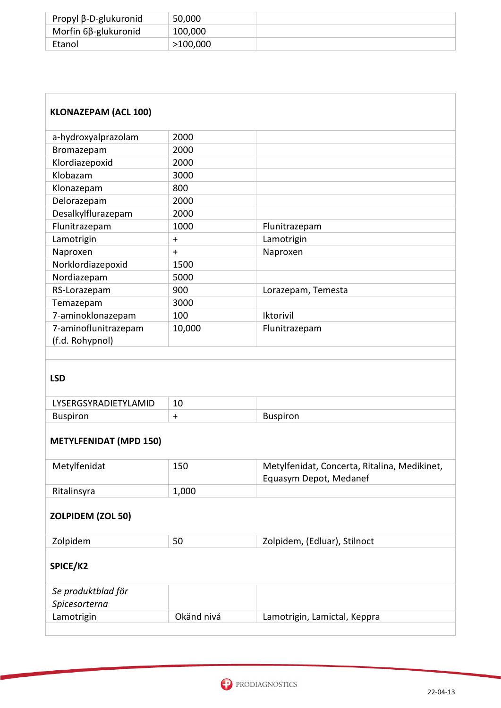| Propyl β-D-glukuronid       | 50,000   |  |
|-----------------------------|----------|--|
| Morfin $6\beta$ -glukuronid | 100,000  |  |
| Etanol                      | >100,000 |  |

| <b>KLONAZEPAM (ACL 100)</b>             |            |                                                                        |  |
|-----------------------------------------|------------|------------------------------------------------------------------------|--|
| a-hydroxyalprazolam                     | 2000       |                                                                        |  |
| Bromazepam                              | 2000       |                                                                        |  |
| Klordiazepoxid                          | 2000       |                                                                        |  |
| Klobazam                                | 3000       |                                                                        |  |
| Klonazepam                              | 800        |                                                                        |  |
| Delorazepam                             | 2000       |                                                                        |  |
| Desalkylflurazepam                      | 2000       |                                                                        |  |
| Flunitrazepam                           | 1000       | Flunitrazepam                                                          |  |
| Lamotrigin                              | $\div$     | Lamotrigin                                                             |  |
| Naproxen                                | $\ddot{}$  | Naproxen                                                               |  |
| Norklordiazepoxid                       | 1500       |                                                                        |  |
| Nordiazepam                             | 5000       |                                                                        |  |
| RS-Lorazepam                            | 900        | Lorazepam, Temesta                                                     |  |
| Temazepam                               | 3000       |                                                                        |  |
| 7-aminoklonazepam                       | 100        | Iktorivil                                                              |  |
| 7-aminoflunitrazepam<br>(f.d. Rohypnol) | 10,000     | Flunitrazepam                                                          |  |
| <b>LSD</b><br>LYSERGSYRADIETYLAMID      | 10         |                                                                        |  |
| <b>Buspiron</b>                         | $+$        | <b>Buspiron</b>                                                        |  |
| <b>METYLFENIDAT (MPD 150)</b>           |            |                                                                        |  |
| Metylfenidat                            | 150        | Metylfenidat, Concerta, Ritalina, Medikinet,<br>Equasym Depot, Medanef |  |
| Ritalinsyra                             | 1,000      |                                                                        |  |
| ZOLPIDEM (ZOL 50)                       |            |                                                                        |  |
| Zolpidem                                | 50         | Zolpidem, (Edluar), Stilnoct                                           |  |
| SPICE/K2                                |            |                                                                        |  |
| Se produktblad för<br>Spicesorterna     |            |                                                                        |  |
| Lamotrigin                              | Okänd nivå | Lamotrigin, Lamictal, Keppra                                           |  |
|                                         |            |                                                                        |  |